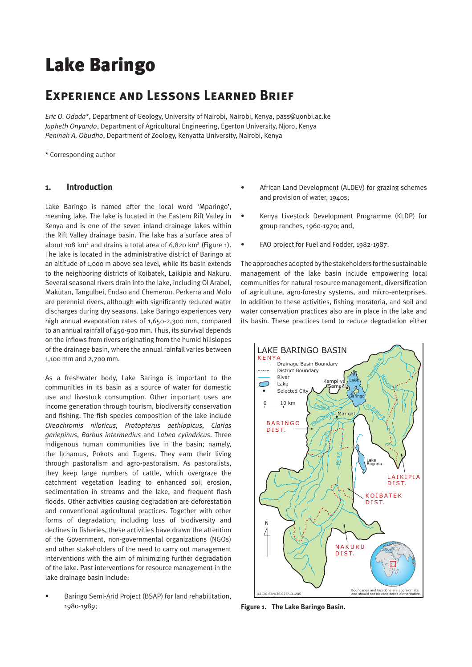# Lake Baringo

# **Experience and Lessons Learned Brief**

*Eric O. Odada*\*, Department of Geology, University of Nairobi, Nairobi, Kenya, pass@uonbi.ac.ke *Japheth Onyando*, Department of Agricultural Engineering, Egerton University, Njoro, Kenya *Peninah A. Obudho*, Department of Zoology, Kenyatta University, Nairobi, Kenya

\* Corresponding author

# **1. Introduction**

Lake Baringo is named after the local word 'Mparingo', meaning lake. The lake is located in the Eastern Rift Valley in Kenya and is one of the seven inland drainage lakes within the Rift Valley drainage basin. The lake has a surface area of about 108 km<sup>2</sup> and drains a total area of  $6,820$  km<sup>2</sup> (Figure 1). The lake is located in the administrative district of Baringo at an altitude of 1,000 m above sea level, while its basin extends to the neighboring districts of Koibatek, Laikipia and Nakuru. Several seasonal rivers drain into the lake, including Ol Arabel, Makutan, Tangulbei, Endao and Chemeron. Perkerra and Molo are perennial rivers, although with significantly reduced water discharges during dry seasons. Lake Baringo experiences very high annual evaporation rates of 1,650-2,300 mm, compared to an annual rainfall of 450-900 mm. Thus, its survival depends on the inflows from rivers originating from the humid hillslopes of the drainage basin, where the annual rainfall varies between 1,100 mm and 2,700 mm.

As a freshwater body, Lake Baringo is important to the communities in its basin as a source of water for domestic use and livestock consumption. Other important uses are income generation through tourism, biodiversity conservation and fishing. The fish species composition of the lake include *Oreochromis niloticus*, *Protopterus aethiopicus*, *Clarias gariepinus*, *Barbus intermedius* and *Labeo cylindricus*. Three indigenous human communities live in the basin; namely, the Ilchamus, Pokots and Tugens. They earn their living through pastoralism and agro-pastoralism. As pastoralists, they keep large numbers of cattle, which overgraze the catchment vegetation leading to enhanced soil erosion, sedimentation in streams and the lake, and frequent flash floods. Other activities causing degradation are deforestation and conventional agricultural practices. Together with other forms of degradation, including loss of biodiversity and declines in fisheries, these activities have drawn the attention of the Government, non-governmental organizations (NGOs) and other stakeholders of the need to carry out management interventions with the aim of minimizing further degradation of the lake. Past interventions for resource management in the lake drainage basin include:

• Baringo Semi-Arid Project (BSAP) for land rehabilitation, 1980-1989;

- African Land Development (ALDEV) for grazing schemes and provision of water, 1940s;
- Kenya Livestock Development Programme (KLDP) for group ranches, 1960-1970; and,
- FAO project for Fuel and Fodder, 1982-1987.

The approaches adopted by the stakeholders for the sustainable management of the lake basin include empowering local communities for natural resource management, diversification of agriculture, agro-forestry systems, and micro-enterprises. In addition to these activities, fishing moratoria, and soil and water conservation practices also are in place in the lake and its basin. These practices tend to reduce degradation either



**Figure 1. The Lake Baringo Basin.**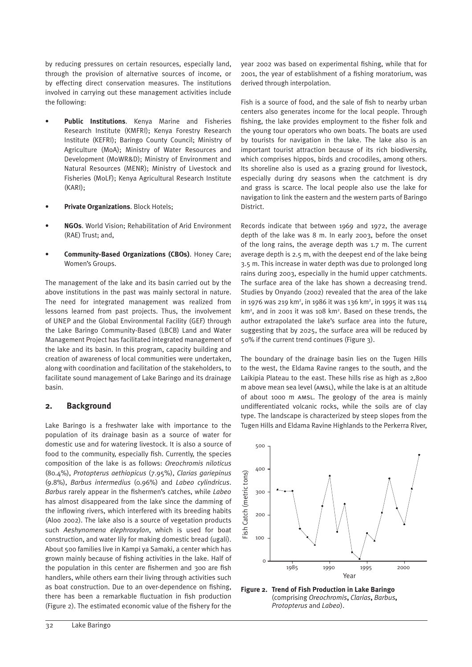by reducing pressures on certain resources, especially land, through the provision of alternative sources of income, or by effecting direct conservation measures. The institutions involved in carrying out these management activities include the following:

- **Public Institutions**. Kenya Marine and Fisheries Research Institute (KMFRI); Kenya Forestry Research Institute (KEFRI); Baringo County Council; Ministry of Agriculture (MoA); Ministry of Water Resources and Development (MoWR&D); Ministry of Environment and Natural Resources (MENR); Ministry of Livestock and Fisheries (MoLF); Kenya Agricultural Research Institute (KARI);
- **Private Organizations**. Block Hotels;
- **NGOs**. World Vision; Rehabilitation of Arid Environment (RAE) Trust; and,
- **Community-Based Organizations (CBOs)**. Honey Care; Women's Groups.

The management of the lake and its basin carried out by the above institutions in the past was mainly sectoral in nature. The need for integrated management was realized from lessons learned from past projects. Thus, the involvement of UNEP and the Global Environmental Facility (GEF) through the Lake Baringo Community-Based (LBCB) Land and Water Management Project has facilitated integrated management of the lake and its basin. In this program, capacity building and creation of awareness of local communities were undertaken, along with coordination and facilitation of the stakeholders, to facilitate sound management of Lake Baringo and its drainage basin.

# **2. Background**

Lake Baringo is a freshwater lake with importance to the population of its drainage basin as a source of water for domestic use and for watering livestock. It is also a source of food to the community, especially fish. Currently, the species composition of the lake is as follows: *Oreochromis niloticus* (80.4%), *Protopterus aethiopicus* (7.95%), *Clarias gariepinus* (9.8%), *Barbus intermedius* (0.96%) and *Labeo cylindricus*. *Barbus* rarely appear in the fishermen's catches, while *Labeo* has almost disappeared from the lake since the damming of the inflowing rivers, which interfered with its breeding habits (Aloo 2002). The lake also is a source of vegetation products such *Aeshynomena elephroxylon*, which is used for boat construction, and water lily for making domestic bread (ugali). About 500 families live in Kampi ya Samaki, a center which has grown mainly because of fishing activities in the lake. Half of the population in this center are fishermen and 300 are fish handlers, while others earn their living through activities such as boat construction. Due to an over-dependence on fishing, there has been a remarkable fluctuation in fish production (Figure 2). The estimated economic value of the fishery for the

year 2002 was based on experimental fishing, while that for 2001, the year of establishment of a fishing moratorium, was derived through interpolation.

Fish is a source of food, and the sale of fish to nearby urban centers also generates income for the local people. Through fishing, the lake provides employment to the fisher folk and the young tour operators who own boats. The boats are used by tourists for navigation in the lake. The lake also is an important tourist attraction because of its rich biodiversity, which comprises hippos, birds and crocodiles, among others. Its shoreline also is used as a grazing ground for livestock, especially during dry seasons when the catchment is dry and grass is scarce. The local people also use the lake for navigation to link the eastern and the western parts of Baringo **District.** 

Records indicate that between 1969 and 1972, the average depth of the lake was 8 m. In early 2003, before the onset of the long rains, the average depth was 1.7 m. The current average depth is 2.5 m, with the deepest end of the lake being 3.5 m. This increase in water depth was due to prolonged long rains during 2003, especially in the humid upper catchments. The surface area of the lake has shown a decreasing trend. Studies by Onyando (2002) revealed that the area of the lake in 1976 was 219 km<sup>2</sup>, in 1986 it was 136 km<sup>2</sup>, in 1995 it was 114 km<sup>2</sup>, and in 2001 it was 108 km<sup>2</sup>. Based on these trends, the author extrapolated the lake's surface area into the future, suggesting that by 2025, the surface area will be reduced by 50% if the current trend continues (Figure 3).

The boundary of the drainage basin lies on the Tugen Hills to the west, the Eldama Ravine ranges to the south, and the Laikipia Plateau to the east. These hills rise as high as 2,800 m above mean sea level (AMSL), while the lake is at an altitude of about 1000 m AMSL. The geology of the area is mainly undifferentiated volcanic rocks, while the soils are of clay type. The landscape is characterized by steep slopes from the Tugen Hills and Eldama Ravine Highlands to the Perkerra River,



**Figure 2. Trend of Fish Production in Lake Baringo**  (comprising *Oreochromis***,** *Clarias***,** *Barbus***,**  *Protopterus* and *Labeo*).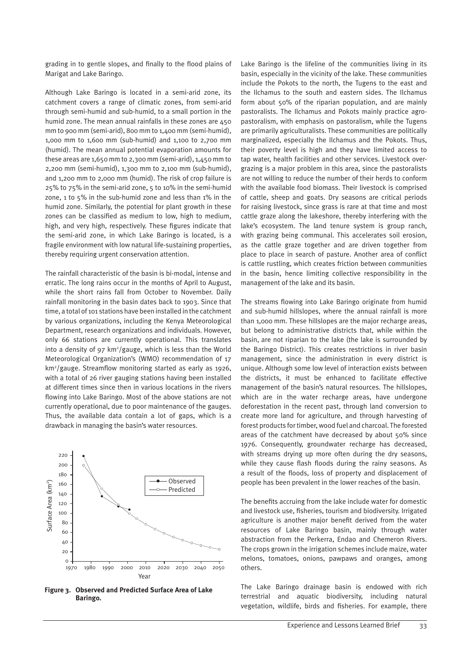grading in to gentle slopes, and finally to the flood plains of Marigat and Lake Baringo.

Although Lake Baringo is located in a semi-arid zone, its catchment covers a range of climatic zones, from semi-arid through semi-humid and sub-humid, to a small portion in the humid zone. The mean annual rainfalls in these zones are 450 mm to 900 mm (semi-arid), 800 mm to 1,400 mm (semi-humid), 1,000 mm to 1,600 mm (sub-humid) and 1,100 to 2,700 mm (humid). The mean annual potential evaporation amounts for these areas are 1,650 mm to 2,300 mm (semi-arid), 1,450 mm to 2,200 mm (semi-humid), 1,300 mm to 2,100 mm (sub-humid), and 1,200 mm to 2,000 mm (humid). The risk of crop failure is 25% to 75% in the semi-arid zone, 5 to 10% in the semi-humid zone, 1 to 5% in the sub-humid zone and less than 1% in the humid zone. Similarly, the potential for plant growth in these zones can be classified as medium to low, high to medium, high, and very high, respectively. These figures indicate that the semi-arid zone, in which Lake Baringo is located, is a fragile environment with low natural life-sustaining properties, thereby requiring urgent conservation attention.

The rainfall characteristic of the basin is bi-modal, intense and erratic. The long rains occur in the months of April to August, while the short rains fall from October to November. Daily rainfall monitoring in the basin dates back to 1903. Since that time, a total of 101 stations have been installed in the catchment by various organizations, including the Kenya Meteorological Department, research organizations and individuals. However, only 66 stations are currently operational. This translates into a density of 97 km<sup>2</sup>/gauge, which is less than the World Meteorological Organization's (WMO) recommendation of 17 km2 /gauge. Streamflow monitoring started as early as 1926, with a total of 26 river gauging stations having been installed at different times since then in various locations in the rivers flowing into Lake Baringo. Most of the above stations are not currently operational, due to poor maintenance of the gauges. Thus, the available data contain a lot of gaps, which is a drawback in managing the basin's water resources.



**Figure 3. Observed and Predicted Surface Area of Lake Baringo.**

Lake Baringo is the lifeline of the communities living in its basin, especially in the vicinity of the lake. These communities include the Pokots to the north, the Tugens to the east and the Ilchamus to the south and eastern sides. The Ilchamus form about 50% of the riparian population, and are mainly pastoralists. The Ilchamus and Pokots mainly practice agropastoralism, with emphasis on pastoralism, while the Tugens are primarily agriculturalists. These communities are politically marginalized, especially the Ilchamus and the Pokots. Thus, their poverty level is high and they have limited access to tap water, health facilities and other services. Livestock overgrazing is a major problem in this area, since the pastoralists are not willing to reduce the number of their herds to conform with the available food biomass. Their livestock is comprised of cattle, sheep and goats. Dry seasons are critical periods for raising livestock, since grass is rare at that time and most cattle graze along the lakeshore, thereby interfering with the lake's ecosystem. The land tenure system is group ranch, with grazing being communal. This accelerates soil erosion, as the cattle graze together and are driven together from place to place in search of pasture. Another area of conflict is cattle rustling, which creates friction between communities in the basin, hence limiting collective responsibility in the management of the lake and its basin.

The streams flowing into Lake Baringo originate from humid and sub-humid hillslopes, where the annual rainfall is more than 1,000 mm. These hillslopes are the major recharge areas, but belong to administrative districts that, while within the basin, are not riparian to the lake (the lake is surrounded by the Baringo District). This creates restrictions in river basin management, since the administration in every district is unique. Although some low level of interaction exists between the districts, it must be enhanced to facilitate effective management of the basin's natural resources. The hillslopes, which are in the water recharge areas, have undergone deforestation in the recent past, through land conversion to create more land for agriculture, and through harvesting of forest products for timber, wood fuel and charcoal. The forested areas of the catchment have decreased by about 50% since 1976. Consequently, groundwater recharge has decreased, with streams drying up more often during the dry seasons, while they cause flash floods during the rainy seasons. As a result of the floods, loss of property and displacement of people has been prevalent in the lower reaches of the basin.

The benefits accruing from the lake include water for domestic and livestock use, fisheries, tourism and biodiversity. Irrigated agriculture is another major benefit derived from the water resources of Lake Baringo basin, mainly through water abstraction from the Perkerra, Endao and Chemeron Rivers. The crops grown in the irrigation schemes include maize, water melons, tomatoes, onions, pawpaws and oranges, among others.

The Lake Baringo drainage basin is endowed with rich terrestrial and aquatic biodiversity, including natural vegetation, wildlife, birds and fisheries. For example, there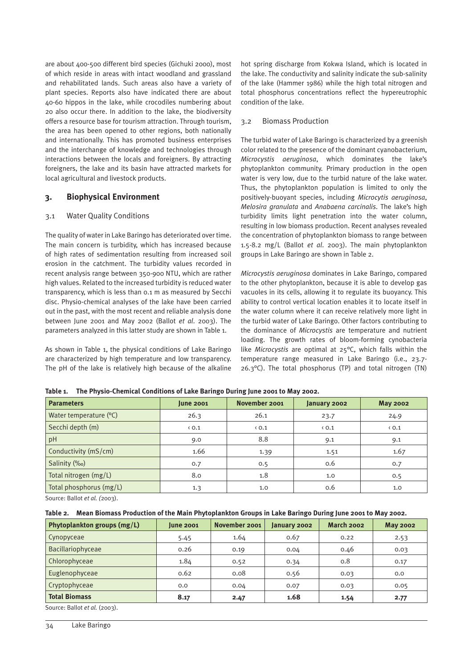are about 400-500 different bird species (Gichuki 2000), most of which reside in areas with intact woodland and grassland and rehabilitated lands. Such areas also have a variety of plant species. Reports also have indicated there are about 40-60 hippos in the lake, while crocodiles numbering about 20 also occur there. In addition to the lake, the biodiversity offers a resource base for tourism attraction. Through tourism, the area has been opened to other regions, both nationally and internationally. This has promoted business enterprises and the interchange of knowledge and technologies through interactions between the locals and foreigners. By attracting foreigners, the lake and its basin have attracted markets for local agricultural and livestock products.

### **3. Biophysical Environment**

#### 3.1 Water Quality Conditions

The quality of water in Lake Baringo has deteriorated over time. The main concern is turbidity, which has increased because of high rates of sedimentation resulting from increased soil erosion in the catchment. The turbidity values recorded in recent analysis range between 350-900 NTU, which are rather high values. Related to the increased turbidity is reduced water transparency, which is less than 0.1 m as measured by Secchi disc. Physio-chemical analyses of the lake have been carried out in the past, with the most recent and reliable analysis done between June 2001 and May 2002 (Ballot *et al*. 2003). The parameters analyzed in this latter study are shown in Table 1.

As shown in Table 1, the physical conditions of Lake Baringo are characterized by high temperature and low transparency. The pH of the lake is relatively high because of the alkaline hot spring discharge from Kokwa Island, which is located in the lake. The conductivity and salinity indicate the sub-salinity of the lake (Hammer 1986) while the high total nitrogen and total phosphorus concentrations reflect the hypereutrophic condition of the lake.

# 3.2 Biomass Production

The turbid water of Lake Baringo is characterized by a greenish color related to the presence of the dominant cyanobacterium, *Microcystis aeruginosa*, which dominates the lake's phytoplankton community. Primary production in the open water is very low, due to the turbid nature of the lake water. Thus, the phytoplankton population is limited to only the positively-buoyant species, including *Microcytis aeruginosa*, *Melosira granulata* and *Anabaena carcinalis*. The lake's high turbidity limits light penetration into the water column, resulting in low biomass production. Recent analyses revealed the concentration of phytoplankton biomass to range between 1.5-8.2 mg/L (Ballot *et al*. 2003). The main phytoplankton groups in Lake Baringo are shown in Table 2.

*Microcystis aeruginosa* dominates in Lake Baringo, compared to the other phytoplankton, because it is able to develop gas vacuoles in its cells, allowing it to regulate its buoyancy. This ability to control vertical location enables it to locate itself in the water column where it can receive relatively more light in the turbid water of Lake Baringo. Other factors contributing to the dominance of *Microcystis* are temperature and nutrient loading. The growth rates of bloom-forming cynobacteria like *Microcystis* are optimal at 25°C, which falls within the temperature range measured in Lake Baringo (i.e., 23.7- 26.3°C). The total phosphorus (TP) and total nitrogen (TN)

| <b>Parameters</b>       | <b>June 2001</b> | November 2001 | January 2002  | <b>May 2002</b> |
|-------------------------|------------------|---------------|---------------|-----------------|
| Water temperature (°C)  | 26.3             | 26.1          | 23.7          | 24.9            |
| Secchi depth (m)        | $\langle 0.1$    | $\langle 0.1$ | $\langle 0.1$ | $\langle 0.1$   |
| pH                      | 9.0              | 8.8           | 9.1           | 9.1             |
| Conductivity (mS/cm)    | 1.66             | 1.39          | 1.51          | 1.67            |
| Salinity (‰)            | 0.7              | 0.5           | 0.6           | 0.7             |
| Total nitrogen (mg/L)   | 8.0              | 1.8           | 1.0           | 0.5             |
| Total phosphorus (mg/L) | 1.3              | 1.0           | 0.6           | 1.0             |

**Table 1. The Physio-Chemical Conditions of Lake Baringo During June 2001 to May 2002.**

Source: Ballot *et al. (*2003).

|  | Table 2.    Mean Biomass Production of the Main Phytoplankton Groups in Lake Baringo During June 2001 to May 2002. |  |  |  |  |
|--|--------------------------------------------------------------------------------------------------------------------|--|--|--|--|
|--|--------------------------------------------------------------------------------------------------------------------|--|--|--|--|

| Phytoplankton groups (mg/L) | <b>June 2001</b> | November 2001 | January 2002 | <b>March 2002</b> | <b>May 2002</b> |
|-----------------------------|------------------|---------------|--------------|-------------------|-----------------|
| Cynopyceae                  | 5.45             | 1.64          | 0.67         | 0.22              | 2.53            |
| Bacillariophyceae           | 0.26             | 0.19          | 0.04         | 0.46              | 0.03            |
| Chlorophyceae               | 1.84             | 0.52          | 0.34         | 0.8               | 0.17            |
| Euglenophyceae              | 0.62             | 0.08          | 0.56         | 0.03              | 0.0             |
| Cryptophyceae               | 0.0              | 0.04          | 0.07         | 0.03              | 0.05            |
| <b>Total Biomass</b>        | 8.17             | 2.47          | 1.68         | 1.54              | 2.77            |

Source: Ballot *et al.* (2003).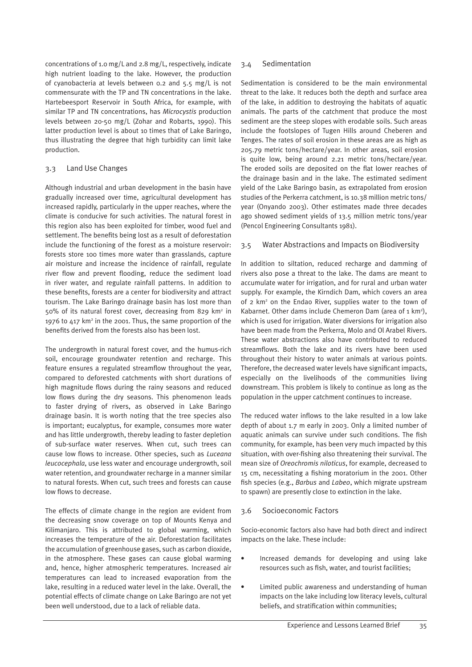concentrations of 1.0 mg/L and 2.8 mg/L, respectively, indicate high nutrient loading to the lake. However, the production of cyanobacteria at levels between 0.2 and 5.5 mg/L is not commensurate with the TP and TN concentrations in the lake. Hartebeesport Reservoir in South Africa, for example, with similar TP and TN concentrations, has *Microcystis* production levels between 20-50 mg/L (Zohar and Robarts, 1990). This latter production level is about 10 times that of Lake Baringo, thus illustrating the degree that high turbidity can limit lake production.

# 3.3 Land Use Changes

Although industrial and urban development in the basin have gradually increased over time, agricultural development has increased rapidly, particularly in the upper reaches, where the climate is conducive for such activities. The natural forest in this region also has been exploited for timber, wood fuel and settlement. The benefits being lost as a result of deforestation include the functioning of the forest as a moisture reservoir: forests store 100 times more water than grasslands, capture air moisture and increase the incidence of rainfall, regulate river flow and prevent flooding, reduce the sediment load in river water, and regulate rainfall patterns. In addition to these benefits, forests are a center for biodiversity and attract tourism. The Lake Baringo drainage basin has lost more than 50% of its natural forest cover, decreasing from 829 km2 in 1976 to 417 km2 in the 2001. Thus, the same proportion of the benefits derived from the forests also has been lost.

The undergrowth in natural forest cover, and the humus-rich soil, encourage groundwater retention and recharge. This feature ensures a regulated streamflow throughout the year, compared to deforested catchments with short durations of high magnitude flows during the rainy seasons and reduced low flows during the dry seasons. This phenomenon leads to faster drying of rivers, as observed in Lake Baringo drainage basin. It is worth noting that the tree species also is important; eucalyptus, for example, consumes more water and has little undergrowth, thereby leading to faster depletion of sub-surface water reserves. When cut, such trees can cause low flows to increase. Other species, such as *Luceana leucocephala*, use less water and encourage undergrowth, soil water retention, and groundwater recharge in a manner similar to natural forests. When cut, such trees and forests can cause low flows to decrease.

The effects of climate change in the region are evident from the decreasing snow coverage on top of Mounts Kenya and Kilimanjaro. This is attributed to global warming, which increases the temperature of the air. Deforestation facilitates the accumulation of greenhouse gases, such as carbon dioxide, in the atmosphere. These gases can cause global warming and, hence, higher atmospheric temperatures. Increased air temperatures can lead to increased evaporation from the lake, resulting in a reduced water level in the lake. Overall, the potential effects of climate change on Lake Baringo are not yet been well understood, due to a lack of reliable data.

#### 3.4 Sedimentation

Sedimentation is considered to be the main environmental threat to the lake. It reduces both the depth and surface area of the lake, in addition to destroying the habitats of aquatic animals. The parts of the catchment that produce the most sediment are the steep slopes with erodable soils. Such areas include the footslopes of Tugen Hills around Cheberen and Tenges. The rates of soil erosion in these areas are as high as 205.79 metric tons/hectare/year. In other areas, soil erosion is quite low, being around 2.21 metric tons/hectare/year. The eroded soils are deposited on the flat lower reaches of the drainage basin and in the lake. The estimated sediment yield of the Lake Baringo basin, as extrapolated from erosion studies of the Perkerra catchment, is 10.38 million metric tons/ year (Onyando 2003). Other estimates made three decades ago showed sediment yields of 13.5 million metric tons/year (Pencol Engineering Consultants 1981).

#### 3.5 Water Abstractions and Impacts on Biodiversity

In addition to siltation, reduced recharge and damming of rivers also pose a threat to the lake. The dams are meant to accumulate water for irrigation, and for rural and urban water supply. For example, the Kirndich Dam, which covers an area of 2 km<sup>2</sup> on the Endao River, supplies water to the town of Kabarnet. Other dams include Chemeron Dam (area of 1 km<sup>2</sup>), which is used for irrigation. Water diversions for irrigation also have been made from the Perkerra, Molo and Ol Arabel Rivers. These water abstractions also have contributed to reduced streamflows. Both the lake and its rivers have been used throughout their history to water animals at various points. Therefore, the decreased water levels have significant impacts, especially on the livelihoods of the communities living downstream. This problem is likely to continue as long as the population in the upper catchment continues to increase.

The reduced water inflows to the lake resulted in a low lake depth of about 1.7 m early in 2003. Only a limited number of aquatic animals can survive under such conditions. The fish community, for example, has been very much impacted by this situation, with over-fishing also threatening their survival. The mean size of *Oreochromis niloticus*, for example, decreased to 15 cm, necessitating a fishing moratorium in the 2001. Other fish species (e.g., *Barbus* and *Labeo*, which migrate upstream to spawn) are presently close to extinction in the lake.

#### 3.6 Socioeconomic Factors

Socio-economic factors also have had both direct and indirect impacts on the lake. These include:

- Increased demands for developing and using lake resources such as fish, water, and tourist facilities;
- Limited public awareness and understanding of human impacts on the lake including low literacy levels, cultural beliefs, and stratification within communities;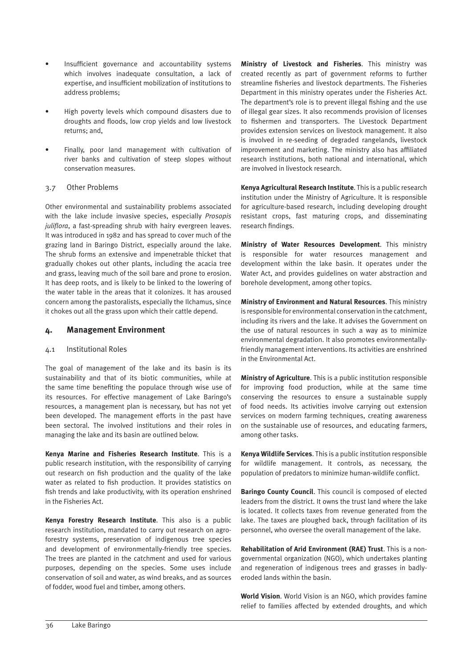- Insufficient governance and accountability systems which involves inadequate consultation, a lack of expertise, and insufficient mobilization of institutions to address problems;
- High poverty levels which compound disasters due to droughts and floods, low crop yields and low livestock returns; and,
- Finally, poor land management with cultivation of river banks and cultivation of steep slopes without conservation measures.

### 3.7 Other Problems

Other environmental and sustainability problems associated with the lake include invasive species, especially *Prosopis juliflora*, a fast-spreading shrub with hairy evergreen leaves. It was introduced in 1982 and has spread to cover much of the grazing land in Baringo District, especially around the lake. The shrub forms an extensive and impenetrable thicket that gradually chokes out other plants, including the acacia tree and grass, leaving much of the soil bare and prone to erosion. It has deep roots, and is likely to be linked to the lowering of the water table in the areas that it colonizes. It has aroused concern among the pastoralists, especially the Ilchamus, since it chokes out all the grass upon which their cattle depend.

# **4. Management Environment**

#### 4.1 Institutional Roles

The goal of management of the lake and its basin is its sustainability and that of its biotic communities, while at the same time benefiting the populace through wise use of its resources. For effective management of Lake Baringo's resources, a management plan is necessary, but has not yet been developed. The management efforts in the past have been sectoral. The involved institutions and their roles in managing the lake and its basin are outlined below.

**Kenya Marine and Fisheries Research Institute**. This is a public research institution, with the responsibility of carrying out research on fish production and the quality of the lake water as related to fish production. It provides statistics on fish trends and lake productivity, with its operation enshrined in the Fisheries Act.

**Kenya Forestry Research Institute**. This also is a public research institution, mandated to carry out research on agroforestry systems, preservation of indigenous tree species and development of environmentally-friendly tree species. The trees are planted in the catchment and used for various purposes, depending on the species. Some uses include conservation of soil and water, as wind breaks, and as sources of fodder, wood fuel and timber, among others.

**Ministry of Livestock and Fisheries**. This ministry was created recently as part of government reforms to further streamline fisheries and livestock departments. The Fisheries Department in this ministry operates under the Fisheries Act. The department's role is to prevent illegal fishing and the use of illegal gear sizes. It also recommends provision of licenses to fishermen and transporters. The Livestock Department provides extension services on livestock management. It also is involved in re-seeding of degraded rangelands, livestock improvement and marketing. The ministry also has affiliated research institutions, both national and international, which are involved in livestock research.

**Kenya Agricultural Research Institute**. This is a public research institution under the Ministry of Agriculture. It is responsible for agriculture-based research, including developing drought resistant crops, fast maturing crops, and disseminating research findings.

**Ministry of Water Resources Development**. This ministry is responsible for water resources management and development within the lake basin. It operates under the Water Act, and provides guidelines on water abstraction and borehole development, among other topics.

**Ministry of Environment and Natural Resources**. This ministry is responsible for environmental conservation in the catchment, including its rivers and the lake. It advises the Government on the use of natural resources in such a way as to minimize environmental degradation. It also promotes environmentallyfriendly management interventions. Its activities are enshrined in the Environmental Act.

**Ministry of Agriculture**. This is a public institution responsible for improving food production, while at the same time conserving the resources to ensure a sustainable supply of food needs. Its activities involve carrying out extension services on modern farming techniques, creating awareness on the sustainable use of resources, and educating farmers, among other tasks.

**Kenya Wildlife Services**. This is a public institution responsible for wildlife management. It controls, as necessary, the population of predators to minimize human-wildlife conflict.

**Baringo County Council**. This council is composed of elected leaders from the district. It owns the trust land where the lake is located. It collects taxes from revenue generated from the lake. The taxes are ploughed back, through facilitation of its personnel, who oversee the overall management of the lake.

**Rehabilitation of Arid Environment (RAE) Trust**. This is a nongovernmental organization (NGO), which undertakes planting and regeneration of indigenous trees and grasses in badlyeroded lands within the basin.

**World Vision**. World Vision is an NGO, which provides famine relief to families affected by extended droughts, and which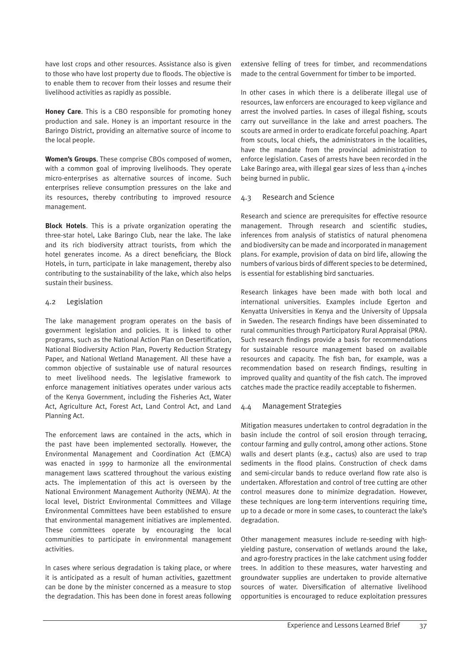have lost crops and other resources. Assistance also is given to those who have lost property due to floods. The objective is to enable them to recover from their losses and resume their livelihood activities as rapidly as possible.

**Honey Care**. This is a CBO responsible for promoting honey production and sale. Honey is an important resource in the Baringo District, providing an alternative source of income to the local people.

**Women's Groups**. These comprise CBOs composed of women, with a common goal of improving livelihoods. They operate micro-enterprises as alternative sources of income. Such enterprises relieve consumption pressures on the lake and its resources, thereby contributing to improved resource management.

**Block Hotels**. This is a private organization operating the three-star hotel, Lake Baringo Club, near the lake. The lake and its rich biodiversity attract tourists, from which the hotel generates income. As a direct beneficiary, the Block Hotels, in turn, participate in lake management, thereby also contributing to the sustainability of the lake, which also helps sustain their business.

#### 4.2 Legislation

The lake management program operates on the basis of government legislation and policies. It is linked to other programs, such as the National Action Plan on Desertification, National Biodiversity Action Plan, Poverty Reduction Strategy Paper, and National Wetland Management. All these have a common objective of sustainable use of natural resources to meet livelihood needs. The legislative framework to enforce management initiatives operates under various acts of the Kenya Government, including the Fisheries Act, Water Act, Agriculture Act, Forest Act, Land Control Act, and Land Planning Act.

The enforcement laws are contained in the acts, which in the past have been implemented sectorally. However, the Environmental Management and Coordination Act (EMCA) was enacted in 1999 to harmonize all the environmental management laws scattered throughout the various existing acts. The implementation of this act is overseen by the National Environment Management Authority (NEMA). At the local level, District Environmental Committees and Village Environmental Committees have been established to ensure that environmental management initiatives are implemented. These committees operate by encouraging the local communities to participate in environmental management activities.

In cases where serious degradation is taking place, or where it is anticipated as a result of human activities, gazettment can be done by the minister concerned as a measure to stop the degradation. This has been done in forest areas following extensive felling of trees for timber, and recommendations made to the central Government for timber to be imported.

In other cases in which there is a deliberate illegal use of resources, law enforcers are encouraged to keep vigilance and arrest the involved parties. In cases of illegal fishing, scouts carry out surveillance in the lake and arrest poachers. The scouts are armed in order to eradicate forceful poaching. Apart from scouts, local chiefs, the administrators in the localities, have the mandate from the provincial administration to enforce legislation. Cases of arrests have been recorded in the Lake Baringo area, with illegal gear sizes of less than 4-inches being burned in public.

### 4.3 Research and Science

Research and science are prerequisites for effective resource management. Through research and scientific studies, inferences from analysis of statistics of natural phenomena and biodiversity can be made and incorporated in management plans. For example, provision of data on bird life, allowing the numbers of various birds of different species to be determined, is essential for establishing bird sanctuaries.

Research linkages have been made with both local and international universities. Examples include Egerton and Kenyatta Universities in Kenya and the University of Uppsala in Sweden. The research findings have been disseminated to rural communities through Participatory Rural Appraisal (PRA). Such research findings provide a basis for recommendations for sustainable resource management based on available resources and capacity. The fish ban, for example, was a recommendation based on research findings, resulting in improved quality and quantity of the fish catch. The improved catches made the practice readily acceptable to fishermen.

# 4.4 Management Strategies

Mitigation measures undertaken to control degradation in the basin include the control of soil erosion through terracing, contour farming and gully control, among other actions. Stone walls and desert plants (e.g., cactus) also are used to trap sediments in the flood plains. Construction of check dams and semi-circular bands to reduce overland flow rate also is undertaken. Afforestation and control of tree cutting are other control measures done to minimize degradation. However, these techniques are long-term interventions requiring time, up to a decade or more in some cases, to counteract the lake's degradation.

Other management measures include re-seeding with highyielding pasture, conservation of wetlands around the lake, and agro-forestry practices in the lake catchment using fodder trees. In addition to these measures, water harvesting and groundwater supplies are undertaken to provide alternative sources of water. Diversification of alternative livelihood opportunities is encouraged to reduce exploitation pressures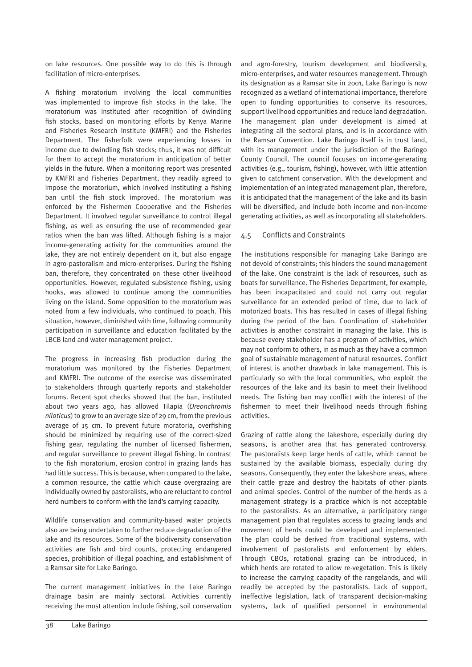on lake resources. One possible way to do this is through facilitation of micro-enterprises.

A fishing moratorium involving the local communities was implemented to improve fish stocks in the lake. The moratorium was instituted after recognition of dwindling fish stocks, based on monitoring efforts by Kenya Marine and Fisheries Research Institute (KMFRI) and the Fisheries Department. The fisherfolk were experiencing losses in income due to dwindling fish stocks; thus, it was not difficult for them to accept the moratorium in anticipation of better yields in the future. When a monitoring report was presented by KMFRI and Fisheries Department, they readily agreed to impose the moratorium, which involved instituting a fishing ban until the fish stock improved. The moratorium was enforced by the Fishermen Cooperative and the Fisheries Department. It involved regular surveillance to control illegal fishing, as well as ensuring the use of recommended gear ratios when the ban was lifted. Although fishing is a major income-generating activity for the communities around the lake, they are not entirely dependent on it, but also engage in agro-pastoralism and micro-enterprises. During the fishing ban, therefore, they concentrated on these other livelihood opportunities. However, regulated subsistence fishing, using hooks, was allowed to continue among the communities living on the island. Some opposition to the moratorium was noted from a few individuals, who continued to poach. This situation, however, diminished with time, following community participation in surveillance and education facilitated by the LBCB land and water management project.

The progress in increasing fish production during the moratorium was monitored by the Fisheries Department and KMFRI. The outcome of the exercise was disseminated to stakeholders through quarterly reports and stakeholder forums. Recent spot checks showed that the ban, instituted about two years ago, has allowed Tilapia (*Oreonchromis niloticus*) to grow to an average size of 29 cm, from the previous average of 15 cm. To prevent future moratoria, overfishing should be minimized by requiring use of the correct-sized fishing gear, regulating the number of licensed fishermen, and regular surveillance to prevent illegal fishing. In contrast to the fish moratorium, erosion control in grazing lands has had little success. This is because, when compared to the lake, a common resource, the cattle which cause overgrazing are individually owned by pastoralists, who are reluctant to control herd numbers to conform with the land's carrying capacity.

Wildlife conservation and community-based water projects also are being undertaken to further reduce degradation of the lake and its resources. Some of the biodiversity conservation activities are fish and bird counts, protecting endangered species, prohibition of illegal poaching, and establishment of a Ramsar site for Lake Baringo.

The current management initiatives in the Lake Baringo drainage basin are mainly sectoral. Activities currently receiving the most attention include fishing, soil conservation and agro-forestry, tourism development and biodiversity, micro-enterprises, and water resources management. Through its designation as a Ramsar site in 2001, Lake Baringo is now recognized as a wetland of international importance, therefore open to funding opportunities to conserve its resources, support livelihood opportunities and reduce land degradation. The management plan under development is aimed at integrating all the sectoral plans, and is in accordance with the Ramsar Convention. Lake Baringo itself is in trust land, with its management under the jurisdiction of the Baringo County Council. The council focuses on income-generating activities (e.g., tourism, fishing), however, with little attention given to catchment conservation. With the development and implementation of an integrated management plan, therefore, it is anticipated that the management of the lake and its basin will be diversified, and include both income and non-income generating activities, as well as incorporating all stakeholders.

# 4.5 Conflicts and Constraints

The institutions responsible for managing Lake Baringo are not devoid of constraints; this hinders the sound management of the lake. One constraint is the lack of resources, such as boats for surveillance. The Fisheries Department, for example, has been incapacitated and could not carry out regular surveillance for an extended period of time, due to lack of motorized boats. This has resulted in cases of illegal fishing during the period of the ban. Coordination of stakeholder activities is another constraint in managing the lake. This is because every stakeholder has a program of activities, which may not conform to others, in as much as they have a common goal of sustainable management of natural resources. Conflict of interest is another drawback in lake management. This is particularly so with the local communities, who exploit the resources of the lake and its basin to meet their livelihood needs. The fishing ban may conflict with the interest of the fishermen to meet their livelihood needs through fishing activities.

Grazing of cattle along the lakeshore, especially during dry seasons, is another area that has generated controversy. The pastoralists keep large herds of cattle, which cannot be sustained by the available biomass, especially during dry seasons. Consequently, they enter the lakeshore areas, where their cattle graze and destroy the habitats of other plants and animal species. Control of the number of the herds as a management strategy is a practice which is not acceptable to the pastoralists. As an alternative, a participatory range management plan that regulates access to grazing lands and movement of herds could be developed and implemented. The plan could be derived from traditional systems, with involvement of pastoralists and enforcement by elders. Through CBOs, rotational grazing can be introduced, in which herds are rotated to allow re-vegetation. This is likely to increase the carrying capacity of the rangelands, and will readily be accepted by the pastoralists. Lack of support, ineffective legislation, lack of transparent decision-making systems, lack of qualified personnel in environmental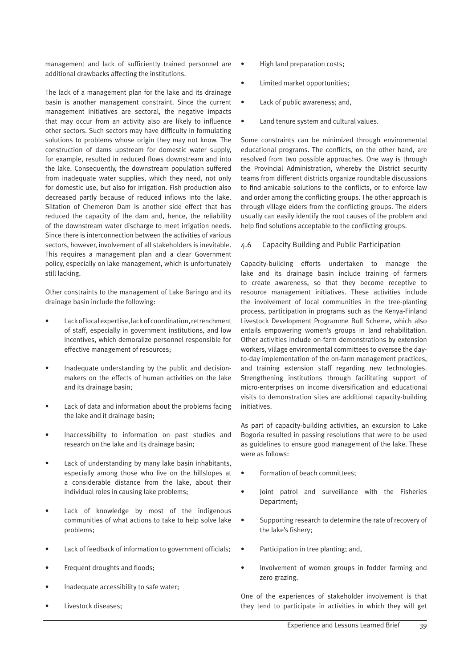management and lack of sufficiently trained personnel are additional drawbacks affecting the institutions.

The lack of a management plan for the lake and its drainage basin is another management constraint. Since the current management initiatives are sectoral, the negative impacts that may occur from an activity also are likely to influence other sectors. Such sectors may have difficulty in formulating solutions to problems whose origin they may not know. The construction of dams upstream for domestic water supply, for example, resulted in reduced flows downstream and into the lake. Consequently, the downstream population suffered from inadequate water supplies, which they need, not only for domestic use, but also for irrigation. Fish production also decreased partly because of reduced inflows into the lake. Siltation of Chemeron Dam is another side effect that has reduced the capacity of the dam and, hence, the reliability of the downstream water discharge to meet irrigation needs. Since there is interconnection between the activities of various sectors, however, involvement of all stakeholders is inevitable. This requires a management plan and a clear Government policy, especially on lake management, which is unfortunately still lacking.

Other constraints to the management of Lake Baringo and its drainage basin include the following:

- Lack of local expertise, lack of coordination, retrenchment of staff, especially in government institutions, and low incentives, which demoralize personnel responsible for effective management of resources;
- Inadequate understanding by the public and decisionmakers on the effects of human activities on the lake and its drainage basin;
- Lack of data and information about the problems facing the lake and it drainage basin;
- Inaccessibility to information on past studies and research on the lake and its drainage basin;
- Lack of understanding by many lake basin inhabitants, especially among those who live on the hillslopes at a considerable distance from the lake, about their individual roles in causing lake problems;
- Lack of knowledge by most of the indigenous communities of what actions to take to help solve lake problems;
- Lack of feedback of information to government officials;
- Frequent droughts and floods;
- Inadequate accessibility to safe water:
- Livestock diseases;
- High land preparation costs;
- Limited market opportunities;
- Lack of public awareness; and,
- Land tenure system and cultural values.

Some constraints can be minimized through environmental educational programs. The conflicts, on the other hand, are resolved from two possible approaches. One way is through the Provincial Administration, whereby the District security teams from different districts organize roundtable discussions to find amicable solutions to the conflicts, or to enforce law and order among the conflicting groups. The other approach is through village elders from the conflicting groups. The elders usually can easily identify the root causes of the problem and help find solutions acceptable to the conflicting groups.

#### 4.6 Capacity Building and Public Participation

Capacity-building efforts undertaken to manage the lake and its drainage basin include training of farmers to create awareness, so that they become receptive to resource management initiatives. These activities include the involvement of local communities in the tree-planting process, participation in programs such as the Kenya-Finland Livestock Development Programme Bull Scheme, which also entails empowering women's groups in land rehabilitation. Other activities include on-farm demonstrations by extension workers, village environmental committees to oversee the dayto-day implementation of the on-farm management practices, and training extension staff regarding new technologies. Strengthening institutions through facilitating support of micro-enterprises on income diversification and educational visits to demonstration sites are additional capacity-building initiatives.

As part of capacity-building activities, an excursion to Lake Bogoria resulted in passing resolutions that were to be used as guidelines to ensure good management of the lake. These were as follows:

- Formation of beach committees;
- Joint patrol and surveillance with the Fisheries Department;
- Supporting research to determine the rate of recovery of the lake's fishery;
- Participation in tree planting; and,
- Involvement of women groups in fodder farming and zero grazing.

One of the experiences of stakeholder involvement is that they tend to participate in activities in which they will get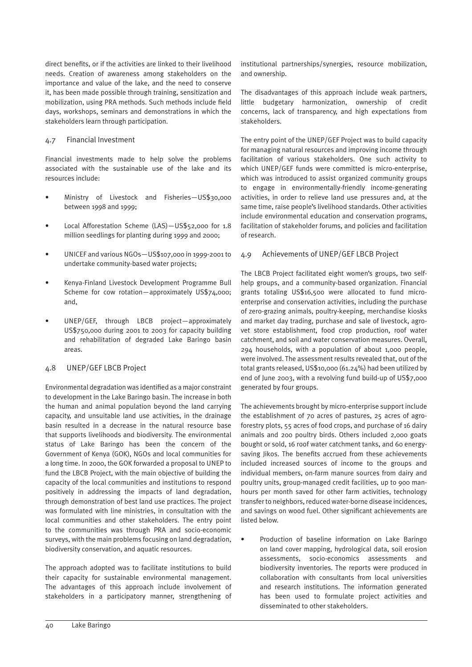direct benefits, or if the activities are linked to their livelihood needs. Creation of awareness among stakeholders on the importance and value of the lake, and the need to conserve it, has been made possible through training, sensitization and mobilization, using PRA methods. Such methods include field days, workshops, seminars and demonstrations in which the stakeholders learn through participation.

#### 4.7 Financial Investment

Financial investments made to help solve the problems associated with the sustainable use of the lake and its resources include:

- Ministry of Livestock and Fisheries—US\$30,000 between 1998 and 1999;
- Local Afforestation Scheme (LAS)-US\$52,000 for 1.8 million seedlings for planting during 1999 and 2000;
- UNICEF and various NGOs—US\$107,000 in 1999-2001 to undertake community-based water projects;
- Kenya-Finland Livestock Development Programme Bull Scheme for cow rotation—approximately US\$74,000; and,
- UNEP/GEF, through LBCB project—approximately US\$750,000 during 2001 to 2003 for capacity building and rehabilitation of degraded Lake Baringo basin areas.

#### 4.8 UNEP/GEF LBCB Project

Environmental degradation was identified as a major constraint to development in the Lake Baringo basin. The increase in both the human and animal population beyond the land carrying capacity, and unsuitable land use activities, in the drainage basin resulted in a decrease in the natural resource base that supports livelihoods and biodiversity. The environmental status of Lake Baringo has been the concern of the Government of Kenya (GOK), NGOs and local communities for a long time. In 2000, the GOK forwarded a proposal to UNEP to fund the LBCB Project, with the main objective of building the capacity of the local communities and institutions to respond positively in addressing the impacts of land degradation, through demonstration of best land use practices. The project was formulated with line ministries, in consultation with the local communities and other stakeholders. The entry point to the communities was through PRA and socio-economic surveys, with the main problems focusing on land degradation, biodiversity conservation, and aquatic resources.

The approach adopted was to facilitate institutions to build their capacity for sustainable environmental management. The advantages of this approach include involvement of stakeholders in a participatory manner, strengthening of institutional partnerships/synergies, resource mobilization, and ownership.

The disadvantages of this approach include weak partners, little budgetary harmonization, ownership of credit concerns, lack of transparency, and high expectations from stakeholders.

The entry point of the UNEP/GEF Project was to build capacity for managing natural resources and improving income through facilitation of various stakeholders. One such activity to which UNEP/GEF funds were committed is micro-enterprise, which was introduced to assist organized community groups to engage in environmentally-friendly income-generating activities, in order to relieve land use pressures and, at the same time, raise people's livelihood standards. Other activities include environmental education and conservation programs, facilitation of stakeholder forums, and policies and facilitation of research.

#### 4.9 Achievements of UNEP/GEF LBCB Project

The LBCB Project facilitated eight women's groups, two selfhelp groups, and a community-based organization. Financial grants totaling US\$16,500 were allocated to fund microenterprise and conservation activities, including the purchase of zero-grazing animals, poultry-keeping, merchandise kiosks and market day trading, purchase and sale of livestock, agrovet store establishment, food crop production, roof water catchment, and soil and water conservation measures. Overall, 294 households, with a population of about 1,000 people, were involved. The assessment results revealed that, out of the total grants released, US\$10,000 (61.24%) had been utilized by end of June 2003, with a revolving fund build-up of US\$7,000 generated by four groups.

The achievements brought by micro-enterprise support include the establishment of 70 acres of pastures, 25 acres of agroforestry plots, 55 acres of food crops, and purchase of 16 dairy animals and 200 poultry birds. Others included 2,000 goats bought or sold, 16 roof water catchment tanks, and 60 energysaving likos. The benefits accrued from these achievements included increased sources of income to the groups and individual members, on-farm manure sources from dairy and poultry units, group-managed credit facilities, up to 900 manhours per month saved for other farm activities, technology transfer to neighbors, reduced water-borne disease incidences, and savings on wood fuel. Other significant achievements are listed below.

• Production of baseline information on Lake Baringo on land cover mapping, hydrological data, soil erosion assessments, socio-economics assessments and biodiversity inventories. The reports were produced in collaboration with consultants from local universities and research institutions. The information generated has been used to formulate project activities and disseminated to other stakeholders.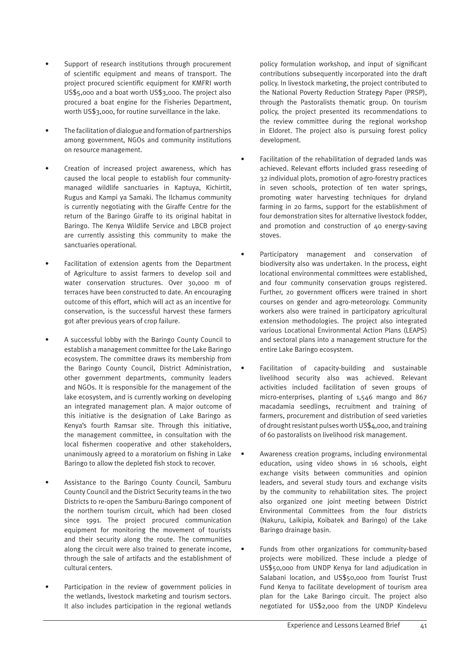- Support of research institutions through procurement of scientific equipment and means of transport. The project procured scientific equipment for KMFRI worth US\$5,000 and a boat worth US\$3,000. The project also procured a boat engine for the Fisheries Department, worth US\$3,000, for routine surveillance in the lake.
- The facilitation of dialogue and formation of partnerships among government, NGOs and community institutions on resource management.
- Creation of increased project awareness, which has caused the local people to establish four communitymanaged wildlife sanctuaries in Kaptuya, Kichirtit, Rugus and Kampi ya Samaki. The Ilchamus community is currently negotiating with the Giraffe Centre for the return of the Baringo Giraffe to its original habitat in Baringo. The Kenya Wildlife Service and LBCB project are currently assisting this community to make the sanctuaries operational.
- Facilitation of extension agents from the Department of Agriculture to assist farmers to develop soil and water conservation structures. Over 30,000 m of terraces have been constructed to date. An encouraging outcome of this effort, which will act as an incentive for conservation, is the successful harvest these farmers got after previous years of crop failure.
- A successful lobby with the Baringo County Council to establish a management committee for the Lake Baringo ecosystem. The committee draws its membership from the Baringo County Council, District Administration, other government departments, community leaders and NGOs. It is responsible for the management of the lake ecosystem, and is currently working on developing an integrated management plan. A major outcome of this initiative is the designation of Lake Baringo as Kenya's fourth Ramsar site. Through this initiative, the management committee, in consultation with the local fishermen cooperative and other stakeholders, unanimously agreed to a moratorium on fishing in Lake Baringo to allow the depleted fish stock to recover.
- Assistance to the Baringo County Council, Samburu County Council and the District Security teams in the two Districts to re-open the Samburu-Baringo component of the northern tourism circuit, which had been closed since 1991. The project procured communication equipment for monitoring the movement of tourists and their security along the route. The communities along the circuit were also trained to generate income, through the sale of artifacts and the establishment of cultural centers.
- Participation in the review of government policies in the wetlands, livestock marketing and tourism sectors. It also includes participation in the regional wetlands

policy formulation workshop, and input of significant contributions subsequently incorporated into the draft policy. In livestock marketing, the project contributed to the National Poverty Reduction Strategy Paper (PRSP), through the Pastoralists thematic group. On tourism policy, the project presented its recommendations to the review committee during the regional workshop in Eldoret. The project also is pursuing forest policy development.

- Facilitation of the rehabilitation of degraded lands was achieved. Relevant efforts included grass reseeding of 32 individual plots, promotion of agro-forestry practices in seven schools, protection of ten water springs, promoting water harvesting techniques for dryland farming in 20 farms, support for the establishment of four demonstration sites for alternative livestock fodder, and promotion and construction of 40 energy-saving stoves.
- Participatory management and conservation of biodiversity also was undertaken. In the process, eight locational environmental committees were established, and four community conservation groups registered. Further, 20 government officers were trained in short courses on gender and agro-meteorology. Community workers also were trained in participatory agricultural extension methodologies. The project also integrated various Locational Environmental Action Plans (LEAPS) and sectoral plans into a management structure for the entire Lake Baringo ecosystem.
- Facilitation of capacity-building and sustainable livelihood security also was achieved. Relevant activities included facilitation of seven groups of micro-enterprises, planting of 1,546 mango and 867 macadamia seedlings, recruitment and training of farmers, procurement and distribution of seed varieties of drought resistant pulses worth US\$4,000, and training of 60 pastoralists on livelihood risk management.
- Awareness creation programs, including environmental education, using video shows in 16 schools, eight exchange visits between communities and opinion leaders, and several study tours and exchange visits by the community to rehabilitation sites. The project also organized one joint meeting between District Environmental Committees from the four districts (Nakuru, Laikipia, Koibatek and Baringo) of the Lake Baringo drainage basin.
- Funds from other organizations for community-based projects were mobilized. These include a pledge of US\$50,000 from UNDP Kenya for land adjudication in Salabani location, and US\$50,000 from Tourist Trust Fund Kenya to facilitate development of tourism area plan for the Lake Baringo circuit. The project also negotiated for US\$2,000 from the UNDP Kindelevu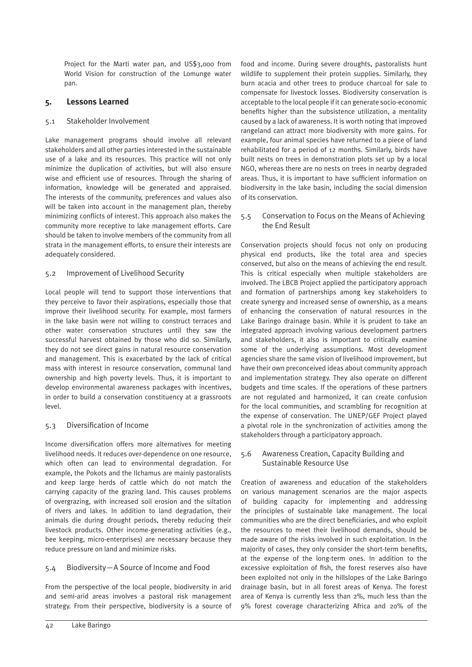Project for the Marti water pan, and US\$3,000 from World Vision for construction of the Lomunge water pan.

# **5. Lessons Learned**

# 5.1 Stakeholder Involvement

Lake management programs should involve all relevant stakeholders and all other parties interested in the sustainable use of a lake and its resources. This practice will not only minimize the duplication of activities, but will also ensure wise and efficient use of resources. Through the sharing of information, knowledge will be generated and appraised. The interests of the community, preferences and values also will be taken into account in the management plan, thereby minimizing conflicts of interest. This approach also makes the community more receptive to lake management efforts. Care should be taken to involve members of the community from all strata in the management efforts, to ensure their interests are adequately considered.

# 5.2 Improvement of Livelihood Security

Local people will tend to support those interventions that they perceive to favor their aspirations, especially those that improve their livelihood security. For example, most farmers in the lake basin were not willing to construct terraces and other water conservation structures until they saw the successful harvest obtained by those who did so. Similarly, they do not see direct gains in natural resource conservation and management. This is exacerbated by the lack of critical mass with interest in resource conservation, communal land ownership and high poverty levels. Thus, it is important to develop environmental awareness packages with incentives, in order to build a conservation constituency at a grassroots level.

# 5.3 Diversification of Income

Income diversification offers more alternatives for meeting livelihood needs. It reduces over-dependence on one resource, which often can lead to environmental degradation. For example, the Pokots and the Ilchamus are mainly pastoralists and keep large herds of cattle which do not match the carrying capacity of the grazing land. This causes problems of overgrazing, with increased soil erosion and the siltation of rivers and lakes. In addition to land degradation, their animals die during drought periods, thereby reducing their livestock products. Other income-generating activities (e.g., bee keeping, micro-enterprises) are necessary because they reduce pressure on land and minimize risks.

# 5.4 Biodiversity—A Source of Income and Food

From the perspective of the local people, biodiversity in arid and semi-arid areas involves a pastoral risk management strategy. From their perspective, biodiversity is a source of food and income. During severe droughts, pastoralists hunt wildlife to supplement their protein supplies. Similarly, they burn acacia and other trees to produce charcoal for sale to compensate for livestock losses. Biodiversity conservation is acceptable to the local people if it can generate socio-economic benefits higher than the subsistence utilization, a mentality caused by a lack of awareness. It is worth noting that improved rangeland can attract more biodiversity with more gains. For example, four animal species have returned to a piece of land rehabilitated for a period of 12 months. Similarly, birds have built nests on trees in demonstration plots set up by a local NGO, whereas there are no nests on trees in nearby degraded areas. Thus, it is important to have sufficient information on biodiversity in the lake basin, including the social dimension of its conservation.

# 5.5 Conservation to Focus on the Means of Achieving the End Result

Conservation projects should focus not only on producing physical end products, like the total area and species conserved, but also on the means of achieving the end result. This is critical especially when multiple stakeholders are involved. The LBCB Project applied the participatory approach and formation of partnerships among key stakeholders to create synergy and increased sense of ownership, as a means of enhancing the conservation of natural resources in the Lake Baringo drainage basin. While it is prudent to take an integrated approach involving various development partners and stakeholders, it also is important to critically examine some of the underlying assumptions. Most development agencies share the same vision of livelihood improvement, but have their own preconceived ideas about community approach and implementation strategy. They also operate on different budgets and time scales. If the operations of these partners are not regulated and harmonized, it can create confusion for the local communities, and scrambling for recognition at the expense of conservation. The UNEP/GEF Project played a pivotal role in the synchronization of activities among the stakeholders through a participatory approach.

# 5.6 Awareness Creation, Capacity Building and Sustainable Resource Use

Creation of awareness and education of the stakeholders on various management scenarios are the major aspects of building capacity for implementing and addressing the principles of sustainable lake management. The local communities who are the direct beneficiaries, and who exploit the resources to meet their livelihood demands, should be made aware of the risks involved in such exploitation. In the majority of cases, they only consider the short-term benefits, at the expense of the long-term ones. In addition to the excessive exploitation of fish, the forest reserves also have been exploited not only in the hillslopes of the Lake Baringo drainage basin, but in all forest areas of Kenya. The forest area of Kenya is currently less than 2%, much less than the 9% forest coverage characterizing Africa and 20% of the